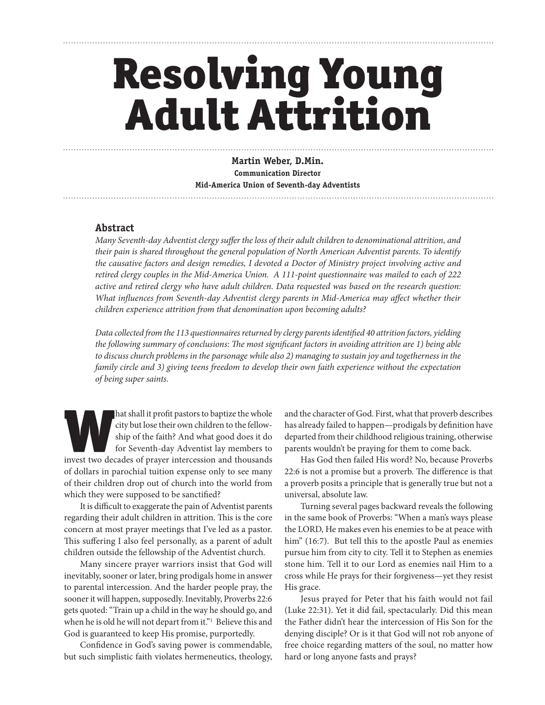# Resolving Young Adult Attrition

**Martin Weber, D.Min. Communication Director Mid-America Union of Seventh-day Adventists**

#### **Abstract**

*Many Seventh-day Adventist clergy suffer the loss of their adult children to denominational attrition, and their pain is shared throughout the general population of North American Adventist parents. To identify the causative factors and design remedies, I devoted a Doctor of Ministry project involving active and retired clergy couples in the Mid-America Union. A 111-point questionnaire was mailed to each of 222 active and retired clergy who have adult children. Data requested was based on the research question:*  What influences from Seventh-day Adventist clergy parents in Mid-America may affect whether their *children experience attrition from that denomination upon becoming adults?*

*Data collected from the 113 questionnaires returned by clergy parents identified 40 attrition factors, yielding the following summary of conclusions: The most significant factors in avoiding attrition are 1) being able to discuss church problems in the parsonage while also 2) managing to sustain joy and togetherness in the family circle and 3) giving teens freedom to develop their own faith experience without the expectation of being super saints.*

hat shall it profit pastors to baptize the whole city but lose their own children to the fellowship of the faith? And what good does it do for Seventh-day Adventist lay members to invest two decades of prayer intercession city but lose their own children to the fellowship of the faith? And what good does it do for Seventh-day Adventist lay members to of dollars in parochial tuition expense only to see many of their children drop out of church into the world from which they were supposed to be sanctified?

It is difficult to exaggerate the pain of Adventist parents regarding their adult children in attrition. This is the core concern at most prayer meetings that I've led as a pastor. This suffering I also feel personally, as a parent of adult children outside the fellowship of the Adventist church.

Many sincere prayer warriors insist that God will inevitably, sooner or later, bring prodigals home in answer to parental intercession. And the harder people pray, the sooner it will happen, supposedly. Inevitably, Proverbs 22:6 gets quoted: "Train up a child in the way he should go, and when he is old he will not depart from it."<sup>1</sup> Believe this and God is guaranteed to keep His promise, purportedly.

Confidence in God's saving power is commendable, but such simplistic faith violates hermeneutics, theology, and the character of God. First, what that proverb describes has already failed to happen—prodigals by definition have departed from their childhood religious training, otherwise parents wouldn't be praying for them to come back.

Has God then failed His word? No, because Proverbs 22:6 is not a promise but a proverb. The difference is that a proverb posits a principle that is generally true but not a universal, absolute law.

Turning several pages backward reveals the following in the same book of Proverbs: "When a man's ways please the LORD, He makes even his enemies to be at peace with him" (16:7). But tell this to the apostle Paul as enemies pursue him from city to city. Tell it to Stephen as enemies stone him. Tell it to our Lord as enemies nail Him to a cross while He prays for their forgiveness—yet they resist His grace.

Jesus prayed for Peter that his faith would not fail (Luke 22:31). Yet it did fail, spectacularly. Did this mean the Father didn't hear the intercession of His Son for the denying disciple? Or is it that God will not rob anyone of free choice regarding matters of the soul, no matter how hard or long anyone fasts and prays?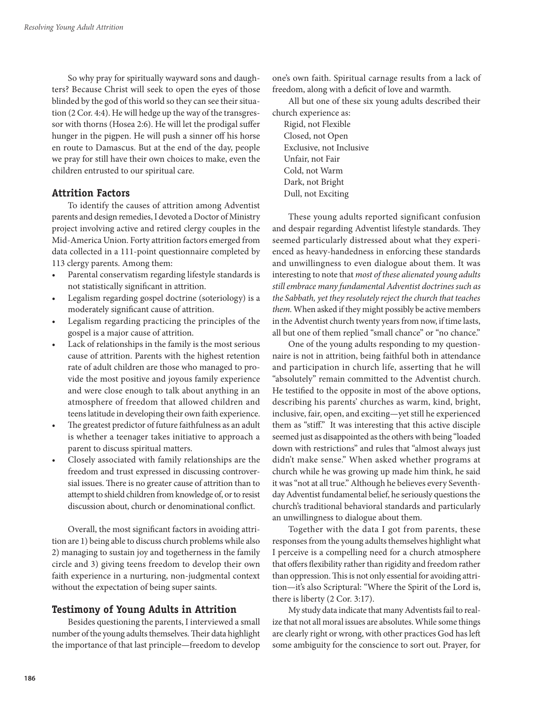So why pray for spiritually wayward sons and daughters? Because Christ will seek to open the eyes of those blinded by the god of this world so they can see their situation (2 Cor. 4:4). He will hedge up the way of the transgressor with thorns (Hosea 2:6). He will let the prodigal suffer hunger in the pigpen. He will push a sinner off his horse en route to Damascus. But at the end of the day, people we pray for still have their own choices to make, even the children entrusted to our spiritual care.

# **Attrition Factors**

To identify the causes of attrition among Adventist parents and design remedies, I devoted a Doctor of Ministry project involving active and retired clergy couples in the Mid-America Union. Forty attrition factors emerged from data collected in a 111-point questionnaire completed by 113 clergy parents. Among them:

- Parental conservatism regarding lifestyle standards is not statistically significant in attrition.
- Legalism regarding gospel doctrine (soteriology) is a moderately significant cause of attrition.
- Legalism regarding practicing the principles of the gospel is a major cause of attrition.
- Lack of relationships in the family is the most serious cause of attrition. Parents with the highest retention rate of adult children are those who managed to provide the most positive and joyous family experience and were close enough to talk about anything in an atmosphere of freedom that allowed children and teens latitude in developing their own faith experience.
- The greatest predictor of future faithfulness as an adult is whether a teenager takes initiative to approach a parent to discuss spiritual matters.
- Closely associated with family relationships are the freedom and trust expressed in discussing controversial issues. There is no greater cause of attrition than to attempt to shield children from knowledge of, or to resist discussion about, church or denominational conflict.

Overall, the most significant factors in avoiding attrition are 1) being able to discuss church problems while also 2) managing to sustain joy and togetherness in the family circle and 3) giving teens freedom to develop their own faith experience in a nurturing, non-judgmental context without the expectation of being super saints.

# **Testimony of Young Adults in Attrition**

Besides questioning the parents, I interviewed a small number of the young adults themselves. Their data highlight the importance of that last principle—freedom to develop

one's own faith. Spiritual carnage results from a lack of freedom, along with a deficit of love and warmth.

All but one of these six young adults described their church experience as:

Rigid, not Flexible Closed, not Open Exclusive, not Inclusive Unfair, not Fair Cold, not Warm Dark, not Bright Dull, not Exciting

These young adults reported significant confusion and despair regarding Adventist lifestyle standards. They seemed particularly distressed about what they experienced as heavy-handedness in enforcing these standards and unwillingness to even dialogue about them. It was interesting to note that *most of these alienated young adults still embrace many fundamental Adventist doctrines such as the Sabbath, yet they resolutely reject the church that teaches them.* When asked if they might possibly be active members in the Adventist church twenty years from now, if time lasts, all but one of them replied "small chance" or "no chance."

One of the young adults responding to my questionnaire is not in attrition, being faithful both in attendance and participation in church life, asserting that he will "absolutely" remain committed to the Adventist church. He testified to the opposite in most of the above options, describing his parents' churches as warm, kind, bright, inclusive, fair, open, and exciting—yet still he experienced them as "stiff." It was interesting that this active disciple seemed just as disappointed as the others with being "loaded down with restrictions" and rules that "almost always just didn't make sense." When asked whether programs at church while he was growing up made him think, he said it was "not at all true." Although he believes every Seventhday Adventist fundamental belief, he seriously questions the church's traditional behavioral standards and particularly an unwillingness to dialogue about them.

Together with the data I got from parents, these responses from the young adults themselves highlight what I perceive is a compelling need for a church atmosphere that offers flexibility rather than rigidity and freedom rather than oppression. This is not only essential for avoiding attrition—it's also Scriptural: "Where the Spirit of the Lord is, there is liberty (2 Cor. 3:17).

My study data indicate that many Adventists fail to realize that not all moral issues are absolutes. While some things are clearly right or wrong, with other practices God has left some ambiguity for the conscience to sort out. Prayer, for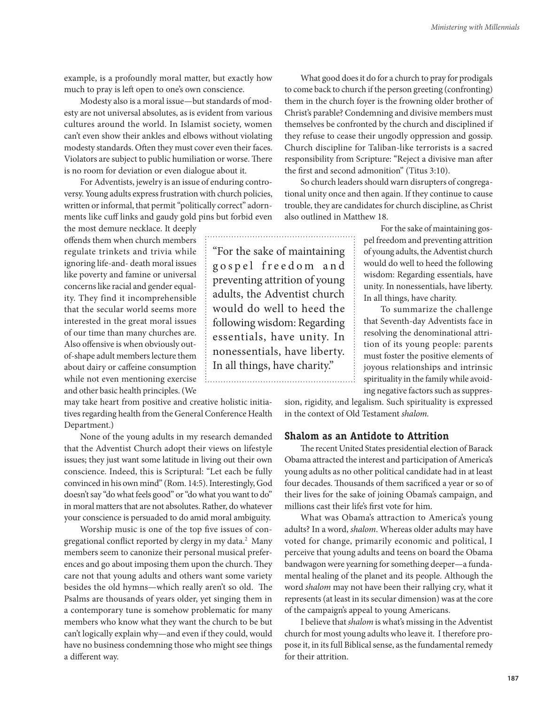example, is a profoundly moral matter, but exactly how much to pray is left open to one's own conscience.

Modesty also is a moral issue—but standards of modesty are not universal absolutes, as is evident from various cultures around the world. In Islamist society, women can't even show their ankles and elbows without violating modesty standards. Often they must cover even their faces. Violators are subject to public humiliation or worse. There is no room for deviation or even dialogue about it.

For Adventists, jewelry is an issue of enduring controversy. Young adults express frustration with church policies, written or informal, that permit "politically correct" adornments like cuff links and gaudy gold pins but forbid even

the most demure necklace. It deeply offends them when church members regulate trinkets and trivia while ignoring life-and- death moral issues like poverty and famine or universal concerns like racial and gender equality. They find it incomprehensible that the secular world seems more interested in the great moral issues of our time than many churches are. Also offensive is when obviously outof-shape adult members lecture them about dairy or caffeine consumption while not even mentioning exercise and other basic health principles. (We

may take heart from positive and creative holistic initiatives regarding health from the General Conference Health Department.)

None of the young adults in my research demanded that the Adventist Church adopt their views on lifestyle issues; they just want some latitude in living out their own conscience. Indeed, this is Scriptural: "Let each be fully convinced in his own mind" (Rom. 14:5). Interestingly, God doesn't say "do what feels good" or "do what you want to do" in moral matters that are not absolutes. Rather, do whatever your conscience is persuaded to do amid moral ambiguity.

Worship music is one of the top five issues of congregational conflict reported by clergy in my data.<sup>2</sup> Many members seem to canonize their personal musical preferences and go about imposing them upon the church. They care not that young adults and others want some variety besides the old hymns—which really aren't so old. The Psalms are thousands of years older, yet singing them in a contemporary tune is somehow problematic for many members who know what they want the church to be but can't logically explain why—and even if they could, would have no business condemning those who might see things a different way.

What good does it do for a church to pray for prodigals to come back to church if the person greeting (confronting) them in the church foyer is the frowning older brother of Christ's parable? Condemning and divisive members must themselves be confronted by the church and disciplined if they refuse to cease their ungodly oppression and gossip. Church discipline for Taliban-like terrorists is a sacred responsibility from Scripture: "Reject a divisive man after the first and second admonition" (Titus 3:10).

So church leaders should warn disrupters of congregational unity once and then again. If they continue to cause trouble, they are candidates for church discipline, as Christ also outlined in Matthew 18.

> For the sake of maintaining gospel freedom and preventing attrition of young adults, the Adventist church would do well to heed the following wisdom: Regarding essentials, have unity. In nonessentials, have liberty. In all things, have charity.

> To summarize the challenge that Seventh-day Adventists face in resolving the denominational attrition of its young people: parents must foster the positive elements of joyous relationships and intrinsic spirituality in the family while avoiding negative factors such as suppres-

sion, rigidity, and legalism. Such spirituality is expressed in the context of Old Testament *shalom.*

### **Shalom as an Antidote to Attrition**

The recent United States presidential election of Barack Obama attracted the interest and participation of America's young adults as no other political candidate had in at least four decades. Thousands of them sacrificed a year or so of their lives for the sake of joining Obama's campaign, and millions cast their life's first vote for him.

What was Obama's attraction to America's young adults? In a word, *shalom*. Whereas older adults may have voted for change, primarily economic and political, I perceive that young adults and teens on board the Obama bandwagon were yearning for something deeper—a fundamental healing of the planet and its people. Although the word *shalom* may not have been their rallying cry, what it represents (at least in its secular dimension) was at the core of the campaign's appeal to young Americans.

I believe that *shalom* is what's missing in the Adventist church for most young adults who leave it. I therefore propose it, in its full Biblical sense, as the fundamental remedy for their attrition.

"For the sake of maintaining g o s p e l f r e e d o m a n d preventing attrition of young adults, the Adventist church would do well to heed the following wisdom: Regarding essentials, have unity. In nonessentials, have liberty. In all things, have charity.". . . . . . . .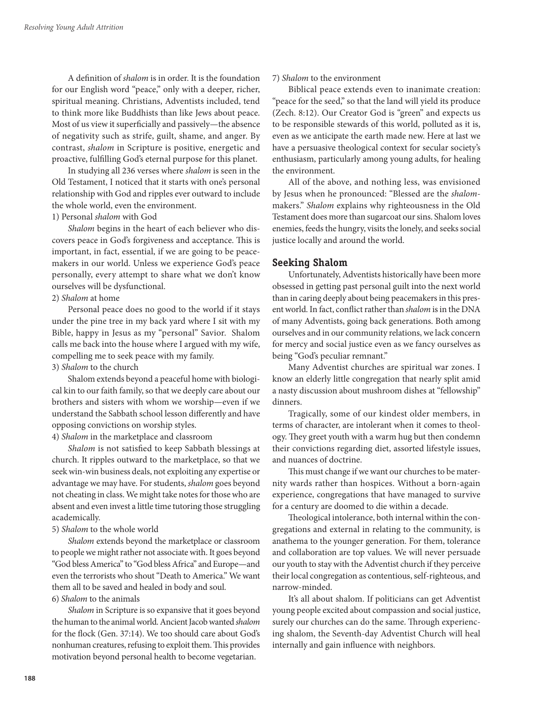A definition of *shalom* is in order. It is the foundation for our English word "peace," only with a deeper, richer, spiritual meaning. Christians, Adventists included, tend to think more like Buddhists than like Jews about peace. Most of us view it superficially and passively—the absence of negativity such as strife, guilt, shame, and anger. By contrast, *shalom* in Scripture is positive, energetic and proactive, fulfilling God's eternal purpose for this planet.

In studying all 236 verses where *shalom* is seen in the Old Testament, I noticed that it starts with one's personal relationship with God and ripples ever outward to include the whole world, even the environment.

# 1) Personal *shalom* with God

*Shalom* begins in the heart of each believer who discovers peace in God's forgiveness and acceptance. This is important, in fact, essential, if we are going to be peacemakers in our world. Unless we experience God's peace personally, every attempt to share what we don't know ourselves will be dysfunctional.

#### 2) *Shalom* at home

Personal peace does no good to the world if it stays under the pine tree in my back yard where I sit with my Bible, happy in Jesus as my "personal" Savior. Shalom calls me back into the house where I argued with my wife, compelling me to seek peace with my family.

#### 3) *Shalom* to the church

Shalom extends beyond a peaceful home with biological kin to our faith family, so that we deeply care about our brothers and sisters with whom we worship—even if we understand the Sabbath school lesson differently and have opposing convictions on worship styles.

#### 4) *Shalom* in the marketplace and classroom

*Shalom* is not satisfied to keep Sabbath blessings at church. It ripples outward to the marketplace, so that we seek win-win business deals, not exploiting any expertise or advantage we may have. For students, *shalom* goes beyond not cheating in class. We might take notes for those who are absent and even invest a little time tutoring those struggling academically.

#### 5) *Shalom* to the whole world

*Shalom* extends beyond the marketplace or classroom to people we might rather not associate with. It goes beyond "God bless America" to "God bless Africa" and Europe—and even the terrorists who shout "Death to America." We want them all to be saved and healed in body and soul. 6) *Shalom* to the animals

*Shalom* in Scripture is so expansive that it goes beyond the human to the animal world. Ancient Jacob wanted *shalom* for the flock (Gen. 37:14). We too should care about God's nonhuman creatures, refusing to exploit them. This provides motivation beyond personal health to become vegetarian.

#### 7) *Shalom* to the environment

Biblical peace extends even to inanimate creation: "peace for the seed," so that the land will yield its produce (Zech. 8:12). Our Creator God is "green" and expects us to be responsible stewards of this world, polluted as it is, even as we anticipate the earth made new. Here at last we have a persuasive theological context for secular society's enthusiasm, particularly among young adults, for healing the environment.

All of the above, and nothing less, was envisioned by Jesus when he pronounced: "Blessed are the *shalom*makers." *Shalom* explains why righteousness in the Old Testament does more than sugarcoat our sins. Shalom loves enemies, feeds the hungry, visits the lonely, and seeks social justice locally and around the world.

#### **Seeking Shalom**

Unfortunately, Adventists historically have been more obsessed in getting past personal guilt into the next world than in caring deeply about being peacemakers in this present world. In fact, conflict rather than *shalom* is in the DNA of many Adventists, going back generations. Both among ourselves and in our community relations, we lack concern for mercy and social justice even as we fancy ourselves as being "God's peculiar remnant."

Many Adventist churches are spiritual war zones. I know an elderly little congregation that nearly split amid a nasty discussion about mushroom dishes at "fellowship" dinners.

Tragically, some of our kindest older members, in terms of character, are intolerant when it comes to theology. They greet youth with a warm hug but then condemn their convictions regarding diet, assorted lifestyle issues, and nuances of doctrine.

This must change if we want our churches to be maternity wards rather than hospices. Without a born-again experience, congregations that have managed to survive for a century are doomed to die within a decade.

Theological intolerance, both internal within the congregations and external in relating to the community, is anathema to the younger generation. For them, tolerance and collaboration are top values. We will never persuade our youth to stay with the Adventist church if they perceive their local congregation as contentious, self-righteous, and narrow-minded.

It's all about shalom. If politicians can get Adventist young people excited about compassion and social justice, surely our churches can do the same. Through experiencing shalom, the Seventh-day Adventist Church will heal internally and gain influence with neighbors.